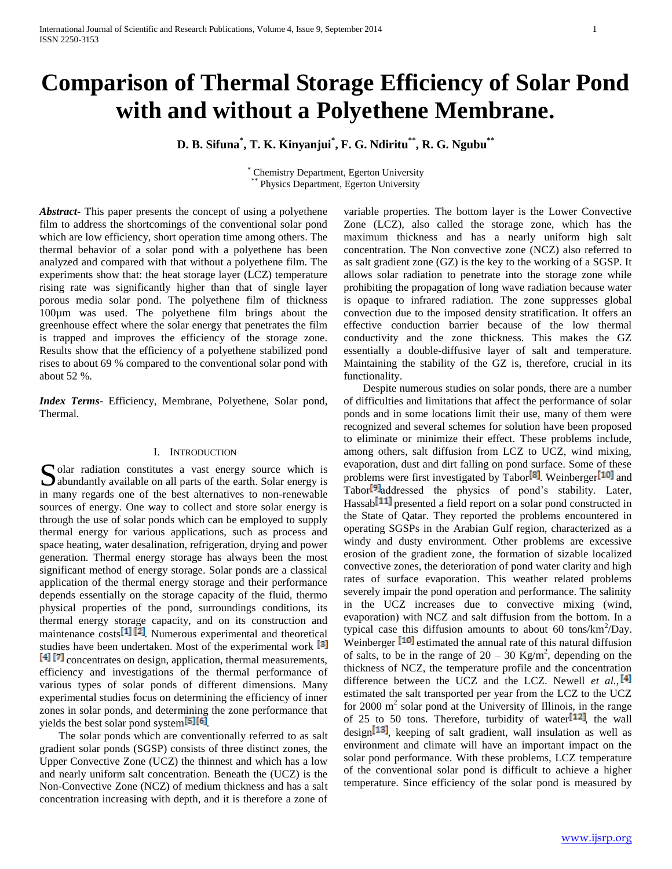# **Comparison of Thermal Storage Efficiency of Solar Pond with and without a Polyethene Membrane.**

**D. B. Sifuna\* , T. K. Kinyanjui\* , F. G. Ndiritu\*\*, R. G. Ngubu\*\***

\* Chemistry Department, Egerton University Physics Department, Egerton University

*Abstract***-** This paper presents the concept of using a polyethene film to address the shortcomings of the conventional solar pond which are low efficiency, short operation time among others. The thermal behavior of a solar pond with a polyethene has been analyzed and compared with that without a polyethene film. The experiments show that: the heat storage layer (LCZ) temperature rising rate was significantly higher than that of single layer porous media solar pond. The polyethene film of thickness 100µm was used. The polyethene film brings about the greenhouse effect where the solar energy that penetrates the film is trapped and improves the efficiency of the storage zone. Results show that the efficiency of a polyethene stabilized pond rises to about 69 % compared to the conventional solar pond with about 52 %.

*Index Terms*- Efficiency, Membrane, Polyethene, Solar pond, Thermal.

## I. INTRODUCTION

olar radiation constitutes a vast energy source which is Solar radiation constitutes a vast energy source which is abundantly available on all parts of the earth. Solar energy is in many regards one of the best alternatives to non-renewable sources of energy. One way to collect and store solar energy is through the use of solar ponds which can be employed to supply thermal energy for various applications, such as process and space heating, water desalination, refrigeration, drying and power generation. Thermal energy storage has always been the most significant method of energy storage. Solar ponds are a classical application of the thermal energy storage and their performance depends essentially on the storage capacity of the fluid, thermo physical properties of the pond, surroundings conditions, its thermal energy storage capacity, and on its construction and maintenance  $\cos\left[\frac{1}{2}\right]$  Numerous experimental and theoretical studies have been undertaken. Most of the experimental work [3] [4] [7] concentrates on design, application, thermal measurements, efficiency and investigations of the thermal performance of various types of solar ponds of different dimensions. Many experimental studies focus on determining the efficiency of inner zones in solar ponds, and determining the zone performance that yields the best solar pond system $[5][6]$ .

 The solar ponds which are conventionally referred to as salt gradient solar ponds (SGSP) consists of three distinct zones, the Upper Convective Zone (UCZ) the thinnest and which has a low and nearly uniform salt concentration. Beneath the (UCZ) is the Non-Convective Zone (NCZ) of medium thickness and has a salt concentration increasing with depth, and it is therefore a zone of variable properties. The bottom layer is the Lower Convective Zone (LCZ), also called the storage zone, which has the maximum thickness and has a nearly uniform high salt concentration. The Non convective zone (NCZ) also referred to as salt gradient zone (GZ) is the key to the working of a SGSP. It allows solar radiation to penetrate into the storage zone while prohibiting the propagation of long wave radiation because water is opaque to infrared radiation. The zone suppresses global convection due to the imposed density stratification. It offers an effective conduction barrier because of the low thermal conductivity and the zone thickness. This makes the GZ essentially a double-diffusive layer of salt and temperature. Maintaining the stability of the GZ is, therefore, crucial in its functionality.

 Despite numerous studies on solar ponds, there are a number of difficulties and limitations that affect the performance of solar ponds and in some locations limit their use, many of them were recognized and several schemes for solution have been proposed to eliminate or minimize their effect. These problems include, among others, salt diffusion from LCZ to UCZ, wind mixing, evaporation, dust and dirt falling on pond surface. Some of these problems were first investigated by Tabor  $^{[8]}$ . Weinberger  $^{[10]}$  and  $Tabor<sup>[9]</sup>addressed$  the physics of pond's stability. Later,  $Hassab$ <sup>[11]</sup> presented a field report on a solar pond constructed in the State of Qatar. They reported the problems encountered in operating SGSPs in the Arabian Gulf region, characterized as a windy and dusty environment. Other problems are excessive erosion of the gradient zone, the formation of sizable localized convective zones, the deterioration of pond water clarity and high rates of surface evaporation. This weather related problems severely impair the pond operation and performance. The salinity in the UCZ increases due to convective mixing (wind, evaporation) with NCZ and salt diffusion from the bottom. In a typical case this diffusion amounts to about 60 tons/ $km^2$ /Day. Weinberger  $\left[10\right]$  estimated the annual rate of this natural diffusion of salts, to be in the range of  $20 - 30$  Kg/m<sup>2</sup>, depending on the thickness of NCZ, the temperature profile and the concentration difference between the UCZ and the LCZ. Newell *et al.*, <sup>[4]</sup> estimated the salt transported per year from the LCZ to the UCZ for 2000  $m^2$  solar pond at the University of Illinois, in the range of 25 to 50 tons. Therefore, turbidity of water<sup>[12]</sup>, the wall  $design<sup>[13]</sup>$ , keeping of salt gradient, wall insulation as well as environment and climate will have an important impact on the solar pond performance. With these problems, LCZ temperature of the conventional solar pond is difficult to achieve a higher temperature. Since efficiency of the solar pond is measured by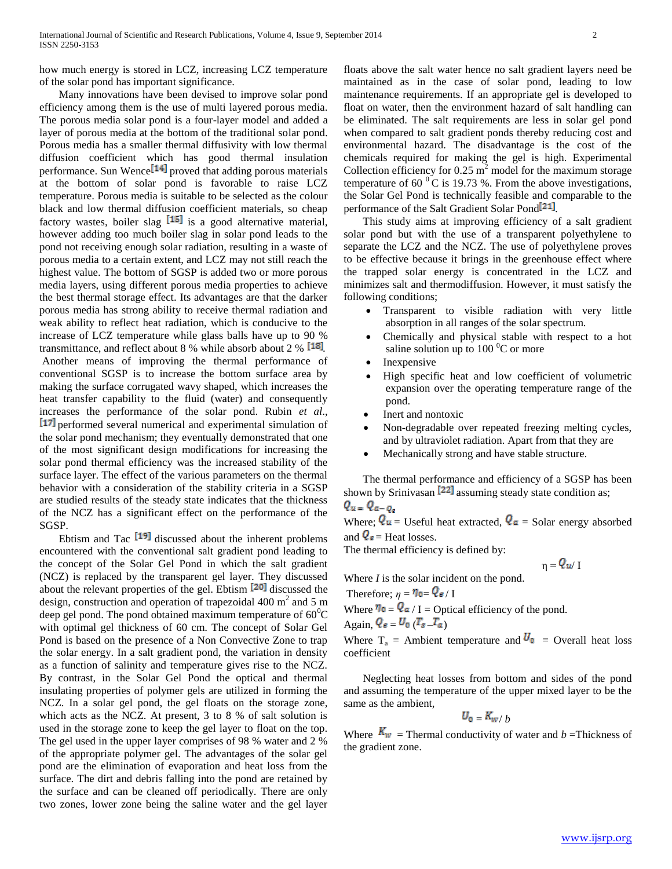how much energy is stored in LCZ, increasing LCZ temperature of the solar pond has important significance.

 Many innovations have been devised to improve solar pond efficiency among them is the use of multi layered porous media. The porous media solar pond is a four-layer model and added a layer of porous media at the bottom of the traditional solar pond. Porous media has a smaller thermal diffusivity with low thermal diffusion coefficient which has good thermal insulation performance. Sun Wence  $[14]$  proved that adding porous materials at the bottom of solar pond is favorable to raise LCZ temperature. Porous media is suitable to be selected as the colour black and low thermal diffusion coefficient materials, so cheap factory wastes, boiler slag  $[15]$  is a good alternative material, however adding too much boiler slag in solar pond leads to the pond not receiving enough solar radiation, resulting in a waste of porous media to a certain extent, and LCZ may not still reach the highest value. The bottom of SGSP is added two or more porous media layers, using different porous media properties to achieve the best thermal storage effect. Its advantages are that the darker porous media has strong ability to receive thermal radiation and weak ability to reflect heat radiation, which is conducive to the increase of LCZ temperature while glass balls have up to 90 % transmittance, and reflect about 8 % while absorb about 2 %  $[18]$ . Another means of improving the thermal performance of conventional SGSP is to increase the bottom surface area by making the surface corrugated wavy shaped, which increases the heat transfer capability to the fluid (water) and consequently increases the performance of the solar pond. Rubin *et al*., [17] performed several numerical and experimental simulation of the solar pond mechanism; they eventually demonstrated that one of the most significant design modifications for increasing the solar pond thermal efficiency was the increased stability of the surface layer. The effect of the various parameters on the thermal behavior with a consideration of the stability criteria in a SGSP are studied results of the steady state indicates that the thickness of the NCZ has a significant effect on the performance of the SGSP.

Ebtism and Tac  $\left[\frac{19}{9}\right]$  discussed about the inherent problems encountered with the conventional salt gradient pond leading to the concept of the Solar Gel Pond in which the salt gradient (NCZ) is replaced by the transparent gel layer. They discussed about the relevant properties of the gel. Ebtism  $\left[20\right]$  discussed the design, construction and operation of trapezoidal 400  $m<sup>2</sup>$  and 5 m deep gel pond. The pond obtained maximum temperature of  $60^{\circ}$ C with optimal gel thickness of 60 cm. The concept of Solar Gel Pond is based on the presence of a Non Convective Zone to trap the solar energy. In a salt gradient pond, the variation in density as a function of salinity and temperature gives rise to the NCZ. By contrast, in the Solar Gel Pond the optical and thermal insulating properties of polymer gels are utilized in forming the NCZ. In a solar gel pond, the gel floats on the storage zone, which acts as the NCZ. At present, 3 to 8 % of salt solution is used in the storage zone to keep the gel layer to float on the top. The gel used in the upper layer comprises of 98 % water and 2 % of the appropriate polymer gel. The advantages of the solar gel pond are the elimination of evaporation and heat loss from the surface. The dirt and debris falling into the pond are retained by the surface and can be cleaned off periodically. There are only two zones, lower zone being the saline water and the gel layer

floats above the salt water hence no salt gradient layers need be maintained as in the case of solar pond, leading to low maintenance requirements. If an appropriate gel is developed to float on water, then the environment hazard of salt handling can be eliminated. The salt requirements are less in solar gel pond when compared to salt gradient ponds thereby reducing cost and environmental hazard. The disadvantage is the cost of the chemicals required for making the gel is high. Experimental Collection efficiency for  $0.25$  m<sup>2</sup> model for the maximum storage temperature of 60 $\mathrm{^{0}}\mathrm{C}$  is 19.73 %. From the above investigations, the Solar Gel Pond is technically feasible and comparable to the performance of the Salt Gradient Solar Pond<sup>[21]</sup>.

 This study aims at improving efficiency of a salt gradient solar pond but with the use of a transparent polyethylene to separate the LCZ and the NCZ. The use of polyethylene proves to be effective because it brings in the greenhouse effect where the trapped solar energy is concentrated in the LCZ and minimizes salt and thermodiffusion. However, it must satisfy the following conditions;

- Transparent to visible radiation with very little absorption in all ranges of the solar spectrum.
- Chemically and physical stable with respect to a hot saline solution up to  $100<sup>0</sup>C$  or more
- Inexpensive
- High specific heat and low coefficient of volumetric expansion over the operating temperature range of the pond.
- Inert and nontoxic
- Non-degradable over repeated freezing melting cycles, and by ultraviolet radiation. Apart from that they are
- Mechanically strong and have stable structure.

 The thermal performance and efficiency of a SGSP has been shown by Srinivasan  $\left[22\right]$  assuming steady state condition as;  $Q_u = Q_{a-q_u}$ 

Where;  $\mathbf{Q}_u = U$ seful heat extracted,  $\mathbf{Q}_a = \text{Solar energy absorbed}$ and  $Q_{\epsilon}$  = Heat losses.

The thermal efficiency is defined by:

 $n = Q_{\mathbf{u}}/I$ 

Where *I* is the solar incident on the pond. Therefore:  $n = \eta_{0} = Q_{\epsilon}/I$ 

Where  $\eta_0 = Q_a / I$  = Optical efficiency of the pond. Again,  $Q_{\epsilon} = U_0 (T_s - T_a)$ 

Where  $T_a$  = Ambient temperature and  $U_0$  = Overall heat loss coefficient

 Neglecting heat losses from bottom and sides of the pond and assuming the temperature of the upper mixed layer to be the same as the ambient,

$$
U_{\mathbf{0}}\equiv K_{\mathbf{W}}/|b|
$$

Where  $K_w$  = Thermal conductivity of water and *b* = Thickness of the gradient zone.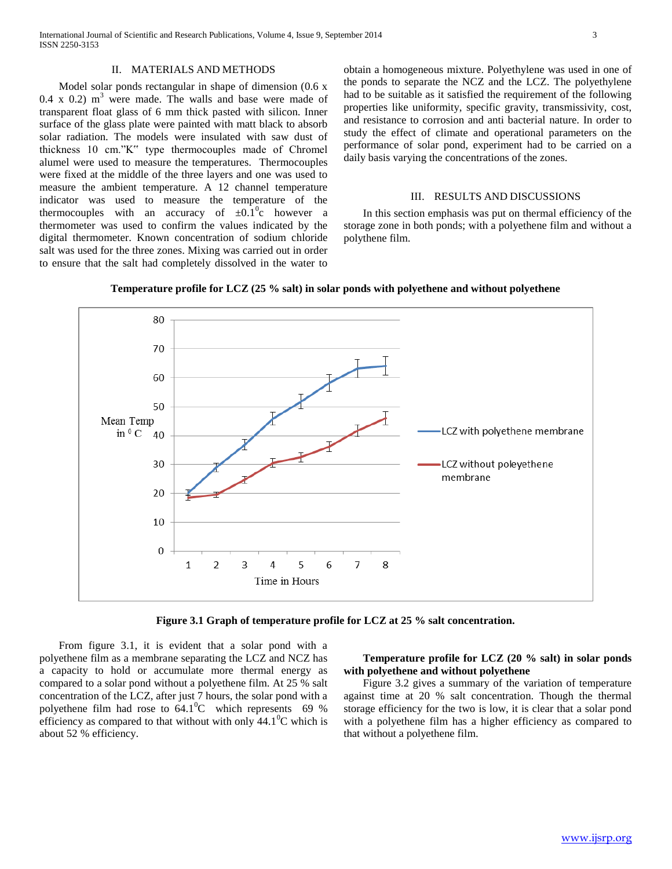## II. MATERIALS AND METHODS

 Model solar ponds rectangular in shape of dimension (0.6 x 0.4 x 0.2)  $m<sup>3</sup>$  were made. The walls and base were made of transparent float glass of 6 mm thick pasted with silicon. Inner surface of the glass plate were painted with matt black to absorb solar radiation. The models were insulated with saw dust of thickness 10 cm."K" type thermocouples made of Chromel alumel were used to measure the temperatures. Thermocouples were fixed at the middle of the three layers and one was used to measure the ambient temperature. A 12 channel temperature indicator was used to measure the temperature of the thermocouples with an accuracy of  $\pm 0.1^\circ$ c however a thermometer was used to confirm the values indicated by the digital thermometer. Known concentration of sodium chloride salt was used for the three zones. Mixing was carried out in order to ensure that the salt had completely dissolved in the water to

obtain a homogeneous mixture. Polyethylene was used in one of the ponds to separate the NCZ and the LCZ. The polyethylene had to be suitable as it satisfied the requirement of the following properties like uniformity, specific gravity, transmissivity, cost, and resistance to corrosion and anti bacterial nature. In order to study the effect of climate and operational parameters on the performance of solar pond, experiment had to be carried on a daily basis varying the concentrations of the zones.

### III. RESULTS AND DISCUSSIONS

 In this section emphasis was put on thermal efficiency of the storage zone in both ponds; with a polyethene film and without a polythene film.





**Figure 3.1 Graph of temperature profile for LCZ at 25 % salt concentration.**

 From figure 3.1, it is evident that a solar pond with a polyethene film as a membrane separating the LCZ and NCZ has a capacity to hold or accumulate more thermal energy as compared to a solar pond without a polyethene film. At 25 % salt concentration of the LCZ, after just 7 hours, the solar pond with a polyethene film had rose to  $64.1^{\circ}$ C which represents 69 % efficiency as compared to that without with only  $44.1^{\circ}$ C which is about 52 % efficiency.

## **Temperature profile for LCZ (20 % salt) in solar ponds with polyethene and without polyethene**

 Figure 3.2 gives a summary of the variation of temperature against time at 20 % salt concentration. Though the thermal storage efficiency for the two is low, it is clear that a solar pond with a polyethene film has a higher efficiency as compared to that without a polyethene film.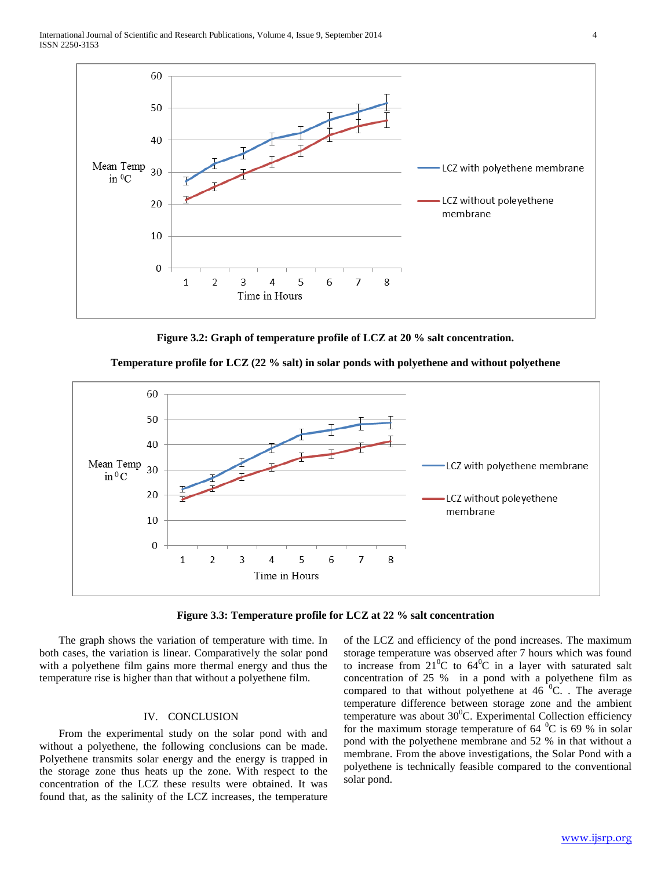

**Figure 3.2: Graph of temperature profile of LCZ at 20 % salt concentration.**





**Figure 3.3: Temperature profile for LCZ at 22 % salt concentration**

 The graph shows the variation of temperature with time. In both cases, the variation is linear. Comparatively the solar pond with a polyethene film gains more thermal energy and thus the temperature rise is higher than that without a polyethene film.

## IV. CONCLUSION

 From the experimental study on the solar pond with and without a polyethene, the following conclusions can be made. Polyethene transmits solar energy and the energy is trapped in the storage zone thus heats up the zone. With respect to the concentration of the LCZ these results were obtained. It was found that, as the salinity of the LCZ increases, the temperature of the LCZ and efficiency of the pond increases. The maximum storage temperature was observed after 7 hours which was found to increase from  $21^0C$  to  $64^0C$  in a layer with saturated salt concentration of 25 % in a pond with a polyethene film as compared to that without polyethene at 46  $^{\circ}$ C. . The average temperature difference between storage zone and the ambient temperature was about  $30^0$ C. Experimental Collection efficiency for the maximum storage temperature of  $64 \degree C$  is 69 % in solar pond with the polyethene membrane and 52 % in that without a membrane. From the above investigations, the Solar Pond with a polyethene is technically feasible compared to the conventional solar pond.